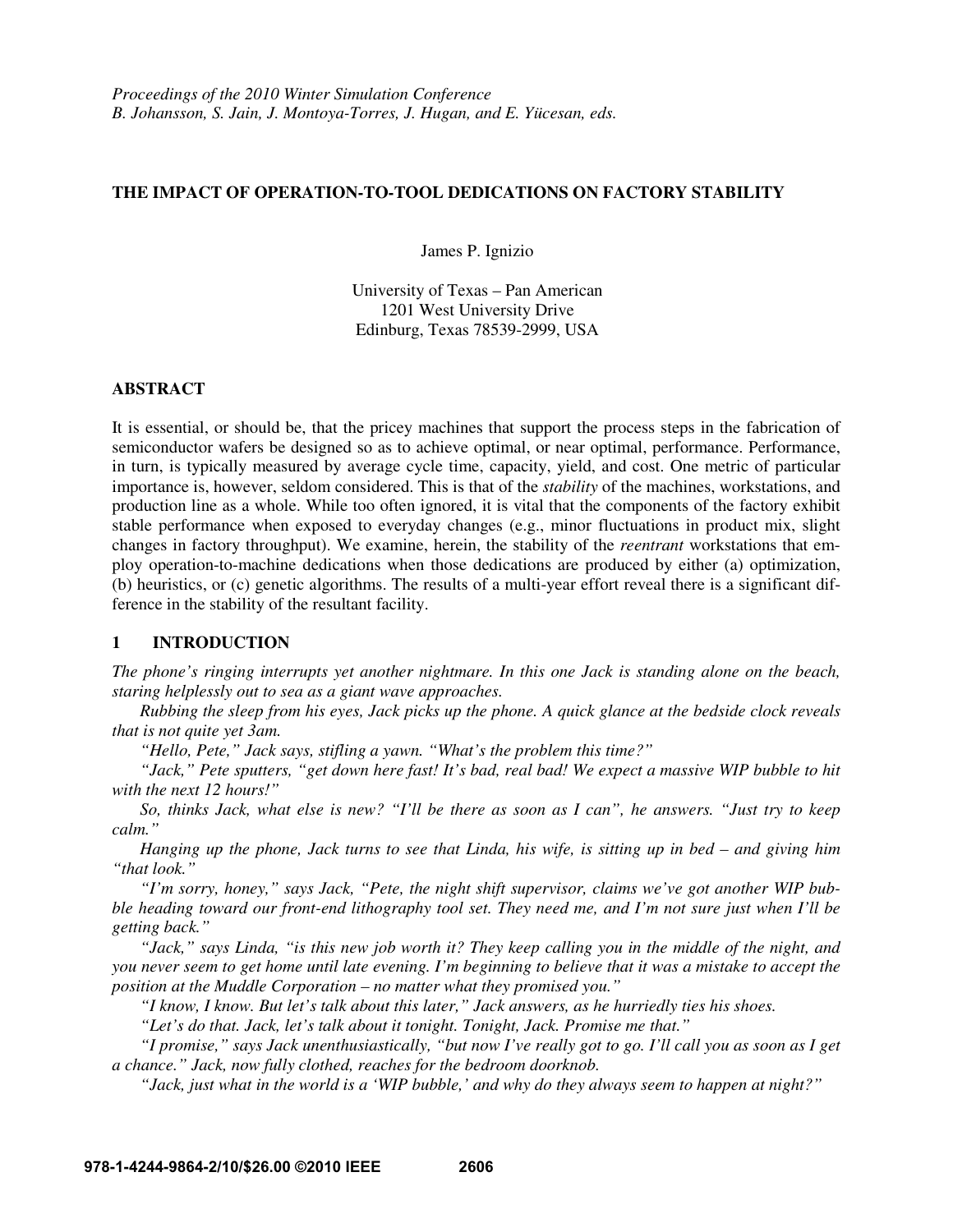# **THE IMPACT OF OPERATION-TO-TOOL DEDICATIONS ON FACTORY STABILITY**

James P. Ignizio

University of Texas – Pan American 1201 West University Drive Edinburg, Texas 78539-2999, USA

## **ABSTRACT**

It is essential, or should be, that the pricey machines that support the process steps in the fabrication of semiconductor wafers be designed so as to achieve optimal, or near optimal, performance. Performance, in turn, is typically measured by average cycle time, capacity, yield, and cost. One metric of particular importance is, however, seldom considered. This is that of the *stability* of the machines, workstations, and production line as a whole. While too often ignored, it is vital that the components of the factory exhibit stable performance when exposed to everyday changes (e.g., minor fluctuations in product mix, slight changes in factory throughput). We examine, herein, the stability of the *reentrant* workstations that employ operation-to-machine dedications when those dedications are produced by either (a) optimization, (b) heuristics, or (c) genetic algorithms. The results of a multi-year effort reveal there is a significant difference in the stability of the resultant facility.

## **1 INTRODUCTION**

*The phone's ringing interrupts yet another nightmare. In this one Jack is standing alone on the beach, staring helplessly out to sea as a giant wave approaches.* 

*Rubbing the sleep from his eyes, Jack picks up the phone. A quick glance at the bedside clock reveals that is not quite yet 3am.* 

*"Hello, Pete," Jack says, stifling a yawn. "What's the problem this time?"* 

*"Jack," Pete sputters, "get down here fast! It's bad, real bad! We expect a massive WIP bubble to hit with the next 12 hours!"* 

*So, thinks Jack, what else is new? "I'll be there as soon as I can", he answers. "Just try to keep calm."* 

*Hanging up the phone, Jack turns to see that Linda, his wife, is sitting up in bed – and giving him "that look."* 

*"I'm sorry, honey," says Jack, "Pete, the night shift supervisor, claims we've got another WIP bubble heading toward our front-end lithography tool set. They need me, and I'm not sure just when I'll be getting back."* 

*"Jack," says Linda, "is this new job worth it? They keep calling you in the middle of the night, and you never seem to get home until late evening. I'm beginning to believe that it was a mistake to accept the position at the Muddle Corporation – no matter what they promised you."* 

*"I know, I know. But let's talk about this later," Jack answers, as he hurriedly ties his shoes.* 

*"Let's do that. Jack, let's talk about it tonight. Tonight, Jack. Promise me that."* 

*"I promise," says Jack unenthusiastically, "but now I've really got to go. I'll call you as soon as I get a chance." Jack, now fully clothed, reaches for the bedroom doorknob.* 

*"Jack, just what in the world is a 'WIP bubble,' and why do they always seem to happen at night?"*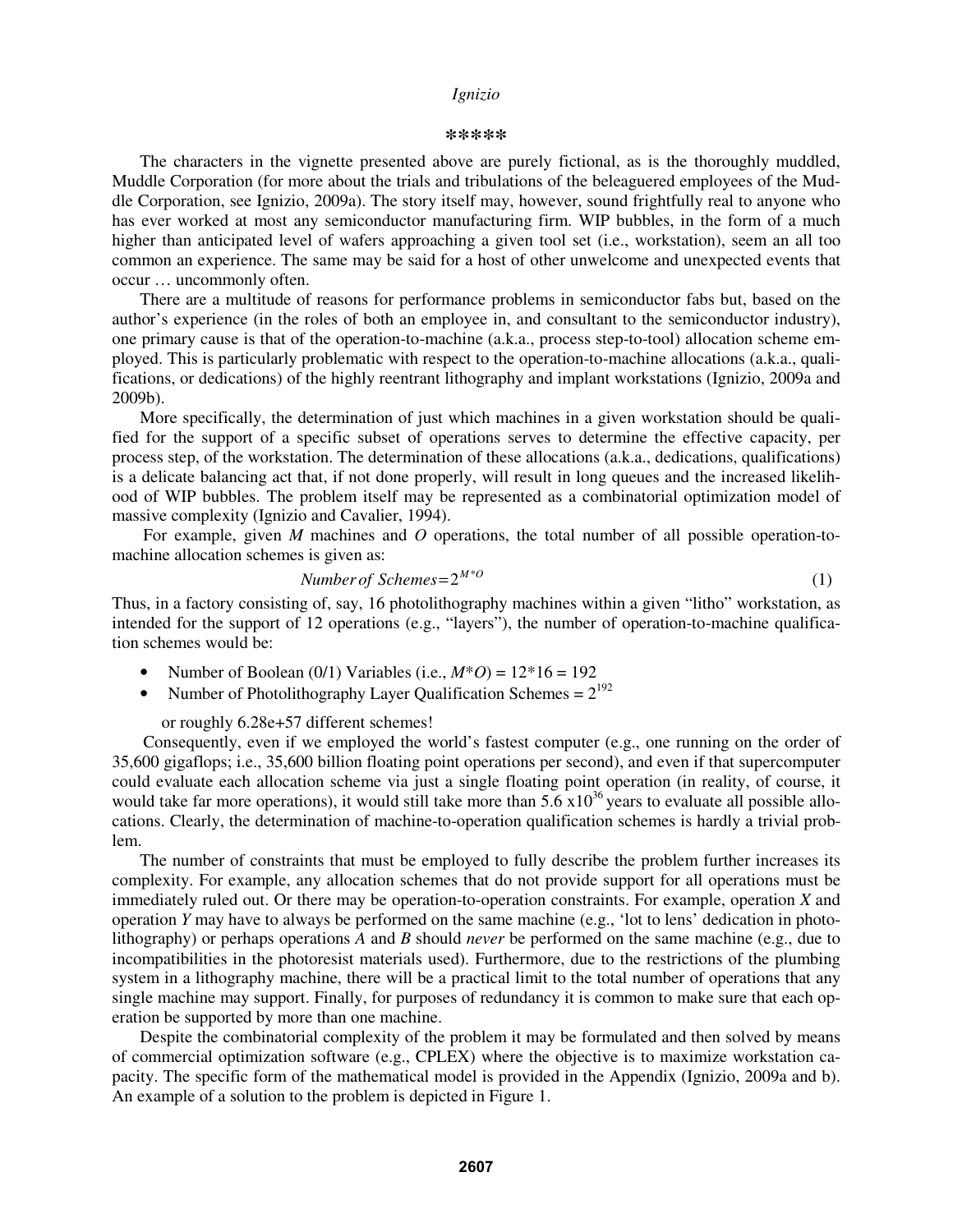#### **\*\*\*\*\***

 The characters in the vignette presented above are purely fictional, as is the thoroughly muddled, Muddle Corporation (for more about the trials and tribulations of the beleaguered employees of the Muddle Corporation, see Ignizio, 2009a). The story itself may, however, sound frightfully real to anyone who has ever worked at most any semiconductor manufacturing firm. WIP bubbles, in the form of a much higher than anticipated level of wafers approaching a given tool set (i.e., workstation), seem an all too common an experience. The same may be said for a host of other unwelcome and unexpected events that occur … uncommonly often.

There are a multitude of reasons for performance problems in semiconductor fabs but, based on the author's experience (in the roles of both an employee in, and consultant to the semiconductor industry), one primary cause is that of the operation-to-machine (a.k.a., process step-to-tool) allocation scheme employed. This is particularly problematic with respect to the operation-to-machine allocations (a.k.a., qualifications, or dedications) of the highly reentrant lithography and implant workstations (Ignizio, 2009a and 2009b).

More specifically, the determination of just which machines in a given workstation should be qualified for the support of a specific subset of operations serves to determine the effective capacity, per process step, of the workstation. The determination of these allocations (a.k.a., dedications, qualifications) is a delicate balancing act that, if not done properly, will result in long queues and the increased likelihood of WIP bubbles. The problem itself may be represented as a combinatorial optimization model of massive complexity (Ignizio and Cavalier, 1994).

For example, given *M* machines and *O* operations, the total number of all possible operation-tomachine allocation schemes is given as:

Number of Schemes = 
$$
2^{M^*O}
$$
 (1)

Thus, in a factory consisting of, say, 16 photolithography machines within a given "litho" workstation, as intended for the support of 12 operations (e.g., "layers"), the number of operation-to-machine qualification schemes would be:

- **Number of Boolean (0/1) Variables (i.e.,**  $M^*O$ **) = 12 \*16 = 192**
- Number of Photolithography Layer Qualification Schemes =  $2^{192}$

or roughly 6.28e+57 different schemes!

Consequently, even if we employed the world's fastest computer (e.g., one running on the order of 35,600 gigaflops; i.e., 35,600 billion floating point operations per second), and even if that supercomputer could evaluate each allocation scheme via just a single floating point operation (in reality, of course, it would take far more operations), it would still take more than  $5.6 \times 10^{36}$  years to evaluate all possible allocations. Clearly, the determination of machine-to-operation qualification schemes is hardly a trivial problem.

The number of constraints that must be employed to fully describe the problem further increases its complexity. For example, any allocation schemes that do not provide support for all operations must be immediately ruled out. Or there may be operation-to-operation constraints. For example, operation *X* and operation *Y* may have to always be performed on the same machine (e.g., 'lot to lens' dedication in photolithography) or perhaps operations *A* and *B* should *never* be performed on the same machine (e.g., due to incompatibilities in the photoresist materials used). Furthermore, due to the restrictions of the plumbing system in a lithography machine, there will be a practical limit to the total number of operations that any single machine may support. Finally, for purposes of redundancy it is common to make sure that each operation be supported by more than one machine.

Despite the combinatorial complexity of the problem it may be formulated and then solved by means of commercial optimization software (e.g., CPLEX) where the objective is to maximize workstation capacity. The specific form of the mathematical model is provided in the Appendix (Ignizio, 2009a and b). An example of a solution to the problem is depicted in Figure 1.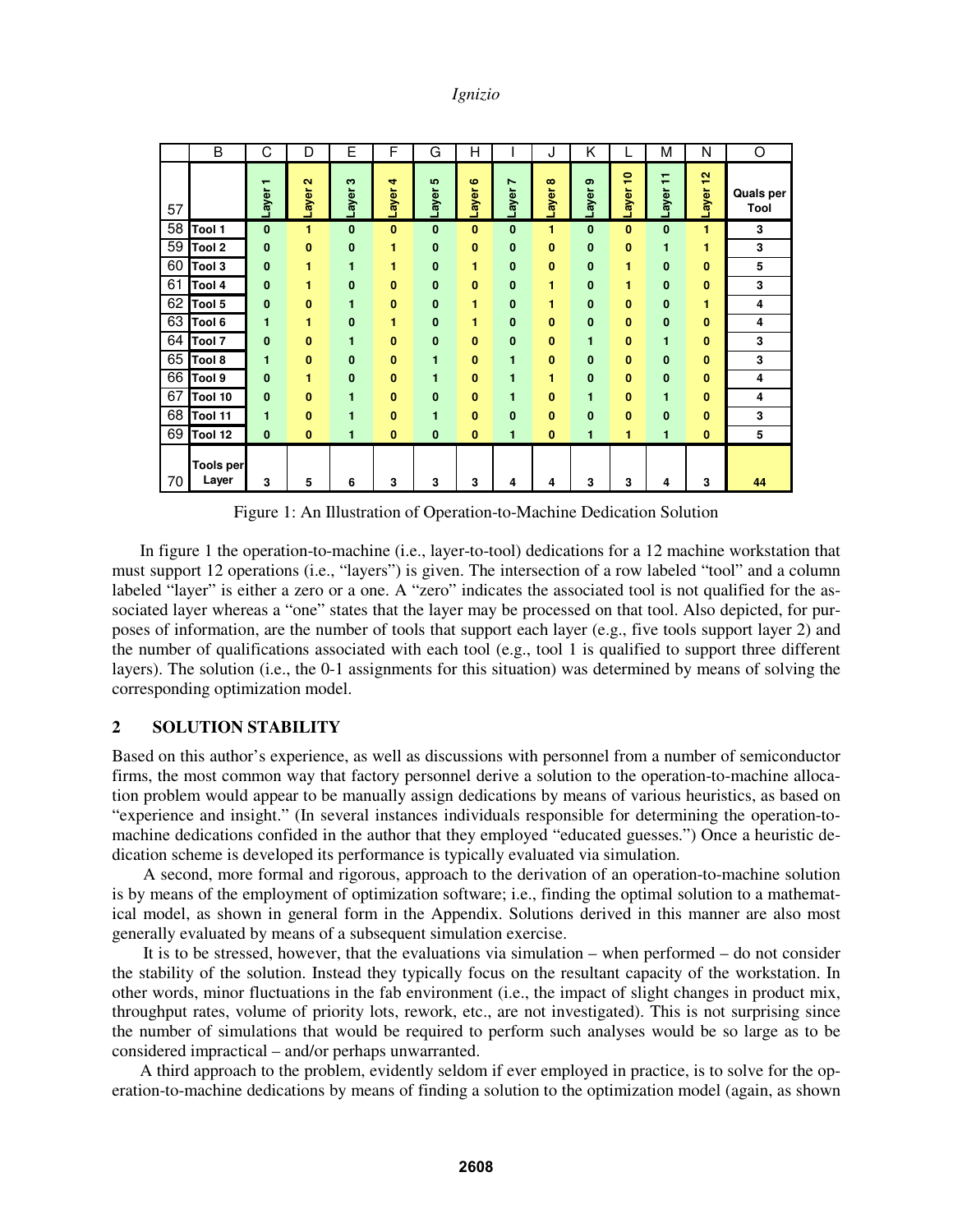|    | B                  | С          | D                             | Е          | F          | G                  | н                  |            | J                 | Κ          |            | М          | N          | Ο                        |
|----|--------------------|------------|-------------------------------|------------|------------|--------------------|--------------------|------------|-------------------|------------|------------|------------|------------|--------------------------|
| 57 |                    | ᠇<br>Layer | $\mathbf{\tilde{z}}$<br>Layer | S<br>Layer | 4<br>Layer | <b>SC</b><br>Layer | $\bullet$<br>-ayer | N<br>-ayer | $\infty$<br>Layer | ၜ<br>Layer | ş<br>-ayer | ₣<br>Layer | 엳<br>Layer | <b>Quals per</b><br>Tool |
| 58 | Tool 1             | $\bf{0}$   | 1                             | $\bf{0}$   | $\bf{0}$   | $\bf{0}$           | $\bf{0}$           | $\bf{0}$   | 1                 | $\bf{0}$   | $\bf{0}$   | $\bf{0}$   | 1          | 3                        |
| 59 | Tool 2             | $\bf{0}$   | $\bf{0}$                      | $\bf{0}$   | 1          | $\bf{0}$           | $\bf{0}$           | $\bf{0}$   | $\bf{0}$          | $\bf{0}$   | $\bf{0}$   | 1          | 1          | 3                        |
| 60 | Tool 3             | $\bf{0}$   | 1                             | 1          | 1          | $\bf{0}$           | 1                  | $\bf{0}$   | $\bf{0}$          | $\bf{0}$   | 1          | $\bf{0}$   | $\bf{0}$   | 5                        |
| 61 | Tool 4             | $\bf{0}$   | 1                             | $\bf{0}$   | $\bf{0}$   | $\bf{0}$           | $\bf{0}$           | $\bf{0}$   | 1                 | $\bf{0}$   | 1          | $\bf{0}$   | $\bf{0}$   | 3                        |
| 62 | Tool 5             | $\bf{0}$   | $\bf{0}$                      | 1          | $\bf{0}$   | $\bf{0}$           | 1                  | $\bf{0}$   | 1                 | $\bf{0}$   | $\bf{0}$   | $\bf{0}$   | 1          | 4                        |
| 63 | Tool 6             | 1          | 1                             | $\bf{0}$   | 1          | $\bf{0}$           | 1                  | $\bf{0}$   | $\bf{0}$          | $\bf{0}$   | $\bf{0}$   | $\bf{0}$   | $\bf{0}$   | 4                        |
| 64 | Tool 7             | $\bf{0}$   | $\bf{0}$                      | 1          | $\bf{0}$   | $\bf{0}$           | $\bf{0}$           | $\bf{0}$   | $\bf{0}$          | 1          | $\bf{0}$   | 1          | $\bf{0}$   | 3                        |
| 65 | Tool 8             | 1          | $\bf{0}$                      | $\bf{0}$   | $\bf{0}$   | 1                  | $\bf{0}$           | 1          | $\bf{0}$          | $\bf{0}$   | $\bf{0}$   | $\bf{0}$   | $\bf{0}$   | 3                        |
| 66 | Tool 9             | $\bf{0}$   | 1                             | $\bf{0}$   | $\bf{0}$   | 1                  | $\bf{0}$           | 1          | 1                 | $\bf{0}$   | $\bf{0}$   | $\bf{0}$   | $\bf{0}$   | 4                        |
| 67 | Tool 10            | $\bf{0}$   | $\bf{0}$                      | 1          | $\bf{0}$   | $\bf{0}$           | $\bf{0}$           | 1          | $\bf{0}$          | 1          | $\bf{0}$   | 1          | $\bf{0}$   | 4                        |
| 68 | Tool 11            | 1          | $\bf{0}$                      | 1          | $\bf{0}$   | 1                  | $\bf{0}$           | $\bf{0}$   | $\bf{0}$          | $\bf{0}$   | $\bf{0}$   | $\bf{0}$   | $\bf{0}$   | 3                        |
| 69 | Tool 12            | $\bf{0}$   | $\bf{0}$                      | 1          | $\bf{0}$   | $\bf{0}$           | 0                  | 1          | $\bf{0}$          | 1          | 1          | 1          | $\bf{0}$   | 5                        |
| 70 | Tools per<br>Layer | 3          | 5                             | 6          | 3          | 3                  | 3                  | 4          | 4                 | 3          | 3          | 4          | 3          | 44                       |

Figure 1: An Illustration of Operation-to-Machine Dedication Solution

In figure 1 the operation-to-machine (i.e., layer-to-tool) dedications for a 12 machine workstation that must support 12 operations (i.e., "layers") is given. The intersection of a row labeled "tool" and a column labeled "layer" is either a zero or a one. A "zero" indicates the associated tool is not qualified for the associated layer whereas a "one" states that the layer may be processed on that tool. Also depicted, for purposes of information, are the number of tools that support each layer (e.g., five tools support layer 2) and the number of qualifications associated with each tool (e.g., tool 1 is qualified to support three different layers). The solution (i.e., the 0-1 assignments for this situation) was determined by means of solving the corresponding optimization model.

### **2 SOLUTION STABILITY**

Based on this author's experience, as well as discussions with personnel from a number of semiconductor firms, the most common way that factory personnel derive a solution to the operation-to-machine allocation problem would appear to be manually assign dedications by means of various heuristics, as based on "experience and insight." (In several instances individuals responsible for determining the operation-tomachine dedications confided in the author that they employed "educated guesses.") Once a heuristic dedication scheme is developed its performance is typically evaluated via simulation.

A second, more formal and rigorous, approach to the derivation of an operation-to-machine solution is by means of the employment of optimization software; i.e., finding the optimal solution to a mathematical model, as shown in general form in the Appendix. Solutions derived in this manner are also most generally evaluated by means of a subsequent simulation exercise.

It is to be stressed, however, that the evaluations via simulation – when performed – do not consider the stability of the solution. Instead they typically focus on the resultant capacity of the workstation. In other words, minor fluctuations in the fab environment (i.e., the impact of slight changes in product mix, throughput rates, volume of priority lots, rework, etc., are not investigated). This is not surprising since the number of simulations that would be required to perform such analyses would be so large as to be considered impractical – and/or perhaps unwarranted.

A third approach to the problem, evidently seldom if ever employed in practice, is to solve for the operation-to-machine dedications by means of finding a solution to the optimization model (again, as shown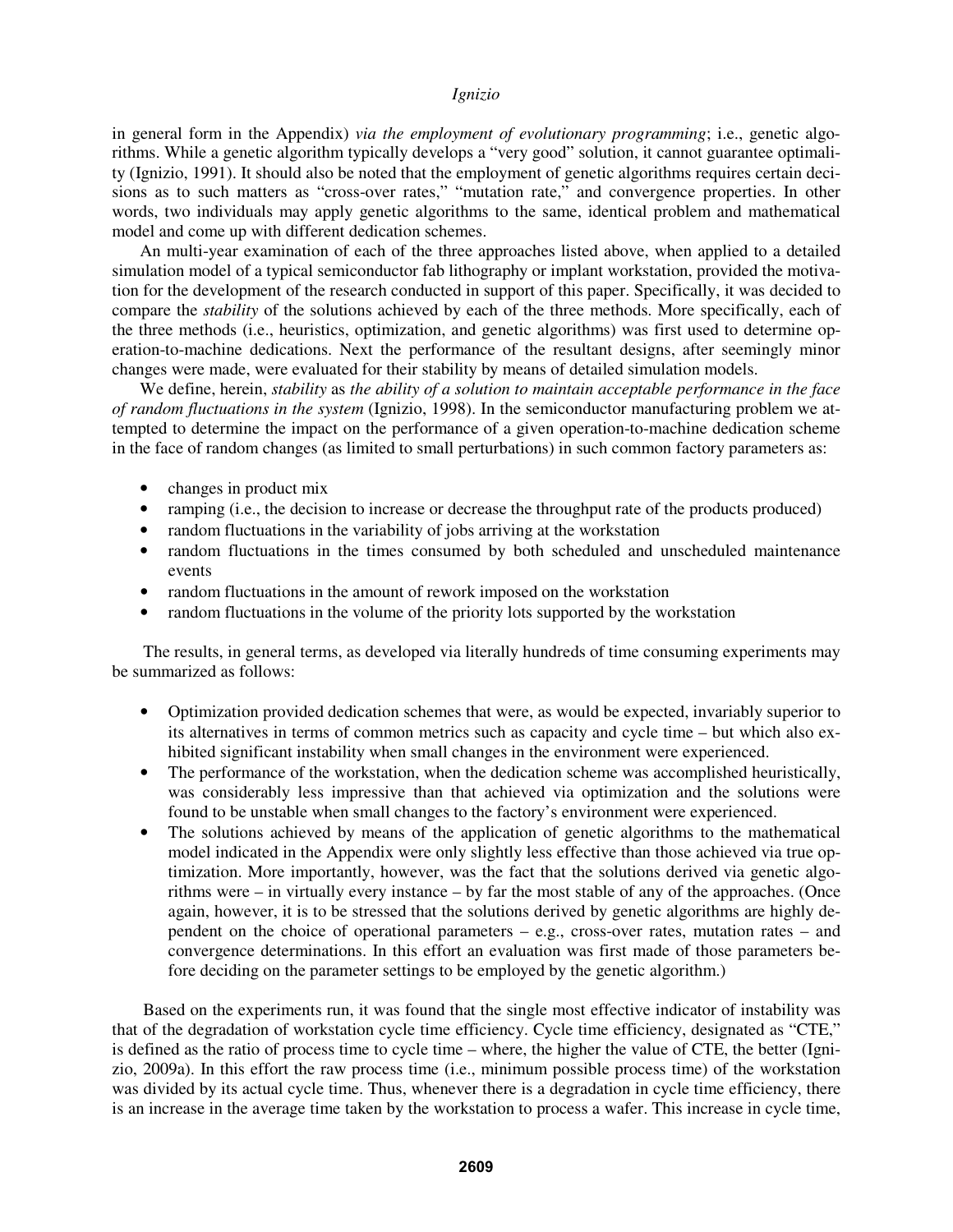in general form in the Appendix) *via the employment of evolutionary programming*; i.e., genetic algorithms. While a genetic algorithm typically develops a "very good" solution, it cannot guarantee optimality (Ignizio, 1991). It should also be noted that the employment of genetic algorithms requires certain decisions as to such matters as "cross-over rates," "mutation rate," and convergence properties. In other words, two individuals may apply genetic algorithms to the same, identical problem and mathematical model and come up with different dedication schemes.

An multi-year examination of each of the three approaches listed above, when applied to a detailed simulation model of a typical semiconductor fab lithography or implant workstation, provided the motivation for the development of the research conducted in support of this paper. Specifically, it was decided to compare the *stability* of the solutions achieved by each of the three methods. More specifically, each of the three methods (i.e., heuristics, optimization, and genetic algorithms) was first used to determine operation-to-machine dedications. Next the performance of the resultant designs, after seemingly minor changes were made, were evaluated for their stability by means of detailed simulation models.

We define, herein, *stability* as *the ability of a solution to maintain acceptable performance in the face of random fluctuations in the system* (Ignizio, 1998). In the semiconductor manufacturing problem we attempted to determine the impact on the performance of a given operation-to-machine dedication scheme in the face of random changes (as limited to small perturbations) in such common factory parameters as:

- changes in product mix
- ramping (i.e., the decision to increase or decrease the throughput rate of the products produced)
- random fluctuations in the variability of jobs arriving at the workstation
- random fluctuations in the times consumed by both scheduled and unscheduled maintenance events
- random fluctuations in the amount of rework imposed on the workstation
- random fluctuations in the volume of the priority lots supported by the workstation

The results, in general terms, as developed via literally hundreds of time consuming experiments may be summarized as follows:

- Optimization provided dedication schemes that were, as would be expected, invariably superior to its alternatives in terms of common metrics such as capacity and cycle time – but which also exhibited significant instability when small changes in the environment were experienced.
- The performance of the workstation, when the dedication scheme was accomplished heuristically, was considerably less impressive than that achieved via optimization and the solutions were found to be unstable when small changes to the factory's environment were experienced.
- The solutions achieved by means of the application of genetic algorithms to the mathematical model indicated in the Appendix were only slightly less effective than those achieved via true optimization. More importantly, however, was the fact that the solutions derived via genetic algorithms were – in virtually every instance – by far the most stable of any of the approaches. (Once again, however, it is to be stressed that the solutions derived by genetic algorithms are highly dependent on the choice of operational parameters – e.g., cross-over rates, mutation rates – and convergence determinations. In this effort an evaluation was first made of those parameters before deciding on the parameter settings to be employed by the genetic algorithm.)

Based on the experiments run, it was found that the single most effective indicator of instability was that of the degradation of workstation cycle time efficiency. Cycle time efficiency, designated as "CTE," is defined as the ratio of process time to cycle time – where, the higher the value of CTE, the better (Ignizio, 2009a). In this effort the raw process time (i.e., minimum possible process time) of the workstation was divided by its actual cycle time. Thus, whenever there is a degradation in cycle time efficiency, there is an increase in the average time taken by the workstation to process a wafer. This increase in cycle time,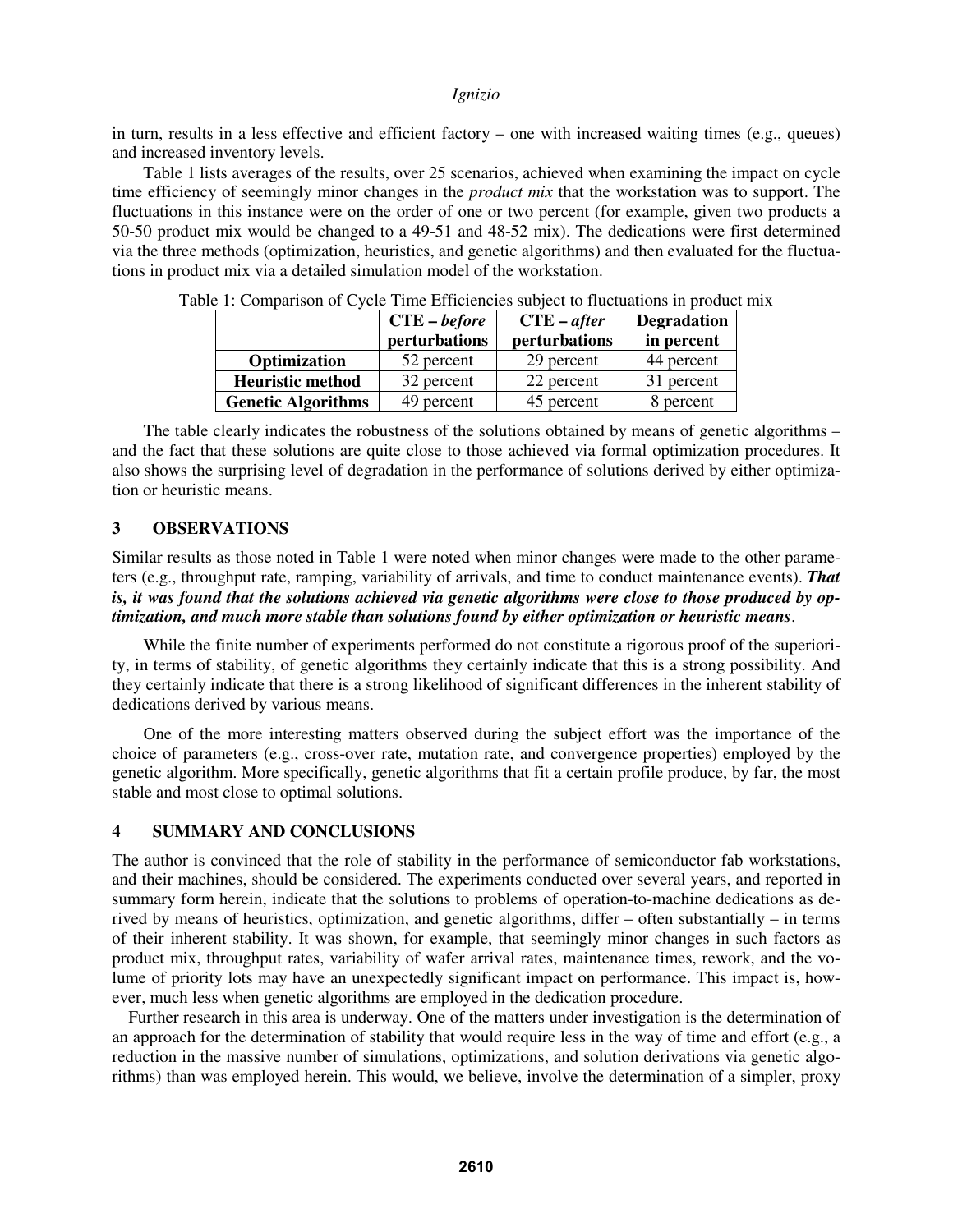in turn, results in a less effective and efficient factory – one with increased waiting times (e.g., queues) and increased inventory levels.

Table 1 lists averages of the results, over 25 scenarios, achieved when examining the impact on cycle time efficiency of seemingly minor changes in the *product mix* that the workstation was to support. The fluctuations in this instance were on the order of one or two percent (for example, given two products a 50-50 product mix would be changed to a 49-51 and 48-52 mix). The dedications were first determined via the three methods (optimization, heuristics, and genetic algorithms) and then evaluated for the fluctuations in product mix via a detailed simulation model of the workstation.

|                           | $CTE - before$<br>perturbations | $CTE - after$<br>perturbations | <b>Degradation</b><br>in percent |
|---------------------------|---------------------------------|--------------------------------|----------------------------------|
| Optimization              | 52 percent                      | 29 percent                     | 44 percent                       |
| <b>Heuristic method</b>   | 32 percent                      | 22 percent                     | 31 percent                       |
| <b>Genetic Algorithms</b> | 49 percent                      | 45 percent                     | 8 percent                        |

Table 1: Comparison of Cycle Time Efficiencies subject to fluctuations in product mix

The table clearly indicates the robustness of the solutions obtained by means of genetic algorithms – and the fact that these solutions are quite close to those achieved via formal optimization procedures. It also shows the surprising level of degradation in the performance of solutions derived by either optimization or heuristic means.

## **3 OBSERVATIONS**

Similar results as those noted in Table 1 were noted when minor changes were made to the other parameters (e.g., throughput rate, ramping, variability of arrivals, and time to conduct maintenance events). *That is, it was found that the solutions achieved via genetic algorithms were close to those produced by optimization, and much more stable than solutions found by either optimization or heuristic means*.

While the finite number of experiments performed do not constitute a rigorous proof of the superiority, in terms of stability, of genetic algorithms they certainly indicate that this is a strong possibility. And they certainly indicate that there is a strong likelihood of significant differences in the inherent stability of dedications derived by various means.

One of the more interesting matters observed during the subject effort was the importance of the choice of parameters (e.g., cross-over rate, mutation rate, and convergence properties) employed by the genetic algorithm. More specifically, genetic algorithms that fit a certain profile produce, by far, the most stable and most close to optimal solutions.

### **4 SUMMARY AND CONCLUSIONS**

The author is convinced that the role of stability in the performance of semiconductor fab workstations, and their machines, should be considered. The experiments conducted over several years, and reported in summary form herein, indicate that the solutions to problems of operation-to-machine dedications as derived by means of heuristics, optimization, and genetic algorithms, differ – often substantially – in terms of their inherent stability. It was shown, for example, that seemingly minor changes in such factors as product mix, throughput rates, variability of wafer arrival rates, maintenance times, rework, and the volume of priority lots may have an unexpectedly significant impact on performance. This impact is, however, much less when genetic algorithms are employed in the dedication procedure.

Further research in this area is underway. One of the matters under investigation is the determination of an approach for the determination of stability that would require less in the way of time and effort (e.g., a reduction in the massive number of simulations, optimizations, and solution derivations via genetic algorithms) than was employed herein. This would, we believe, involve the determination of a simpler, proxy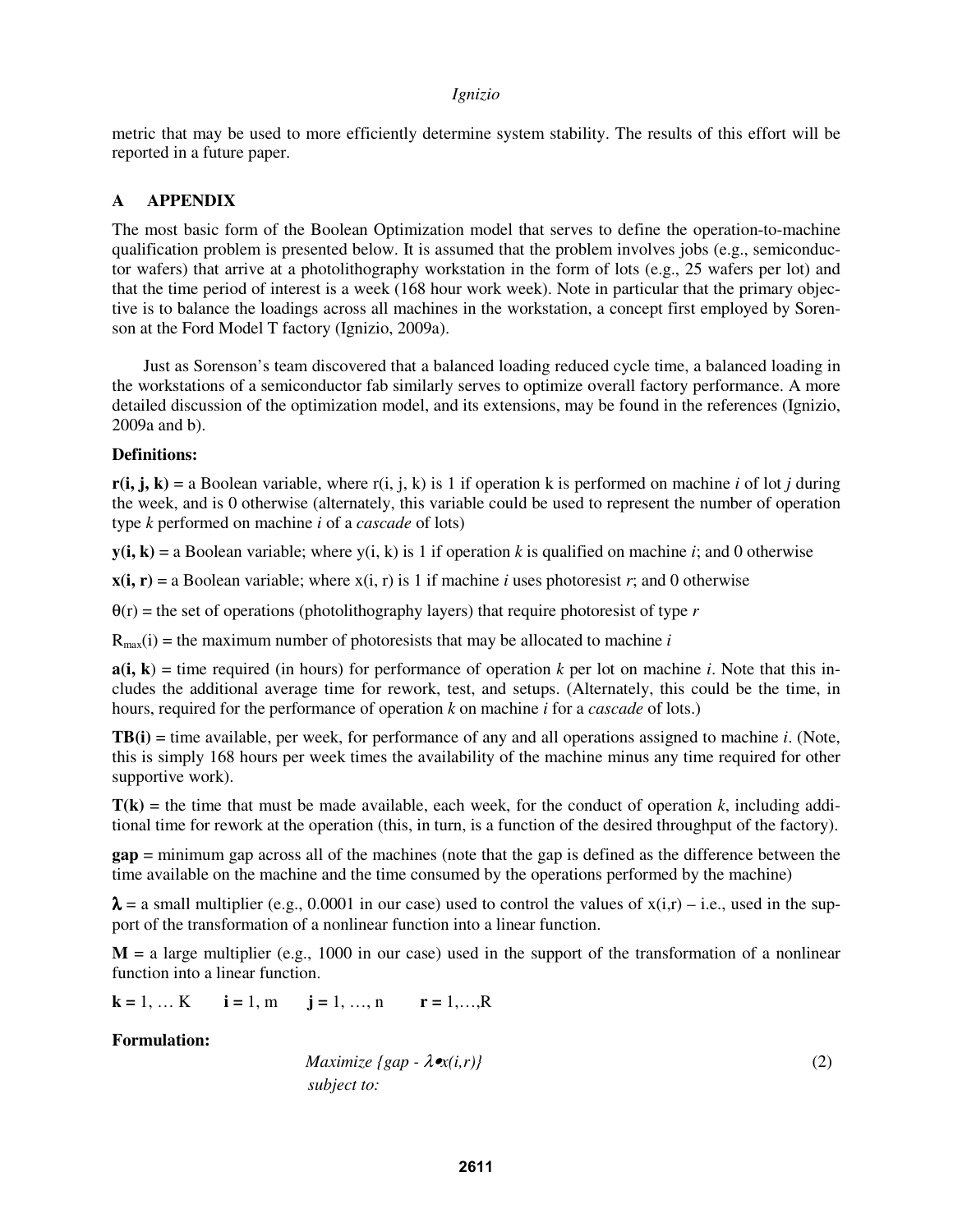metric that may be used to more efficiently determine system stability. The results of this effort will be reported in a future paper.

## **A APPENDIX**

The most basic form of the Boolean Optimization model that serves to define the operation-to-machine qualification problem is presented below. It is assumed that the problem involves jobs (e.g., semiconductor wafers) that arrive at a photolithography workstation in the form of lots (e.g., 25 wafers per lot) and that the time period of interest is a week (168 hour work week). Note in particular that the primary objective is to balance the loadings across all machines in the workstation, a concept first employed by Sorenson at the Ford Model T factory (Ignizio, 2009a).

Just as Sorenson's team discovered that a balanced loading reduced cycle time, a balanced loading in the workstations of a semiconductor fab similarly serves to optimize overall factory performance. A more detailed discussion of the optimization model, and its extensions, may be found in the references (Ignizio, 2009a and b).

## **Definitions:**

 $r(i, j, k) = a$  Boolean variable, where  $r(i, j, k)$  is 1 if operation k is performed on machine *i* of lot *j* during the week, and is 0 otherwise (alternately, this variable could be used to represent the number of operation type *k* performed on machine *i* of a *cascade* of lots)

 $y(i, k) = a$  Boolean variable; where  $y(i, k)$  is 1 if operation k is qualified on machine i; and 0 otherwise

 $x(i, r) = a$  Boolean variable; where  $x(i, r)$  is 1 if machine *i* uses photoresist *r*; and 0 otherwise

θ(r) = the set of operations (photolithography layers) that require photoresist of type *r*

 $R_{\text{max}}(i)$  = the maximum number of photoresists that may be allocated to machine *i* 

 $a(i, k)$  = time required (in hours) for performance of operation  $k$  per lot on machine  $i$ . Note that this includes the additional average time for rework, test, and setups. (Alternately, this could be the time, in hours, required for the performance of operation *k* on machine *i* for a *cascade* of lots.)

**TB(i)** = time available, per week, for performance of any and all operations assigned to machine *i*. (Note, this is simply 168 hours per week times the availability of the machine minus any time required for other supportive work).

 $T(k)$  = the time that must be made available, each week, for the conduct of operation k, including additional time for rework at the operation (this, in turn, is a function of the desired throughput of the factory).

**gap** = minimum gap across all of the machines (note that the gap is defined as the difference between the time available on the machine and the time consumed by the operations performed by the machine)

 $\lambda$  = a small multiplier (e.g., 0.0001 in our case) used to control the values of x(i,r) – i.e., used in the support of the transformation of a nonlinear function into a linear function.

 $M = a$  large multiplier (e.g., 1000 in our case) used in the support of the transformation of a nonlinear function into a linear function.

 $k = 1, \ldots K$  **i** = 1, m **j** = 1, ..., n **r** = 1, ...,R

**Formulation:** 

$$
Maximize \{gap - \lambda \bullet x(i, r)\}\
$$
  
subject to: (2)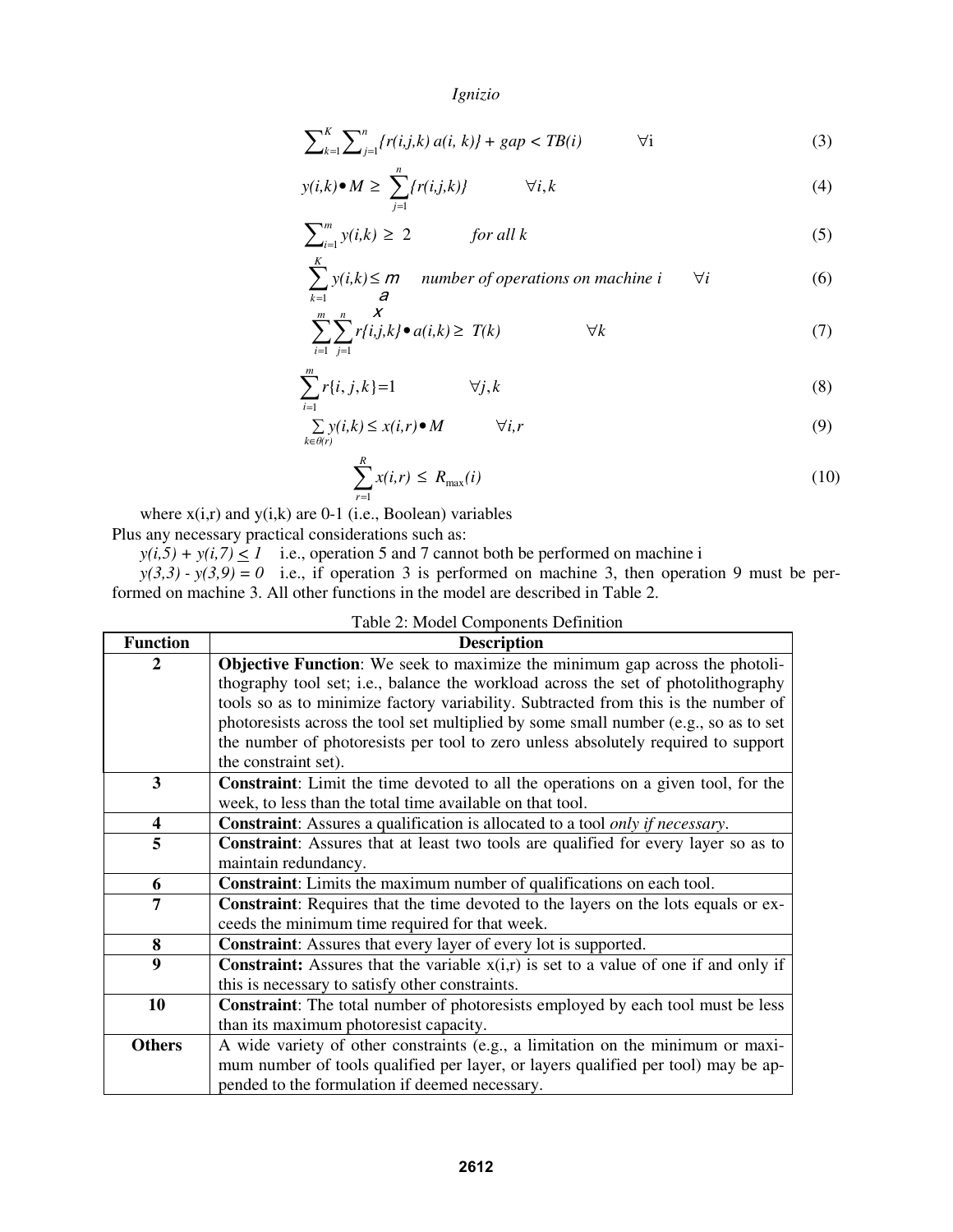$$
\sum_{k=1}^{K} \sum_{j=1}^{n} \{r(i,j,k) a(i,k)\} + gap < TB(i) \qquad \forall i \tag{3}
$$

$$
y(i,k) \bullet M \ge \sum_{j=1}^{n} \{r(i,j,k)\} \qquad \forall i,k
$$
 (4)

$$
\sum_{i=1}^{m} y(i,k) \ge 2 \qquad \text{for all } k \tag{5}
$$

$$
\sum_{k=1}^{K} y(i,k) \le m \quad number \ of \ operations \ on \ machine \ i \qquad \forall i
$$
\n
$$
\sum_{m=n}^{K} y(i,k) \le m \quad number \ of \ operations \ on \ machine \ i \qquad \forall i
$$
\n
$$
\sum_{m=n}^{K} y(i,k) \le m \quad number \ of \ operations \ on \ machine \ in \ the \ time \ (6)
$$

$$
\sum_{i=1}^{m} \sum_{j=1}^{n} r(i,j,k) \bullet a(i,k) \geq T(k) \qquad \forall k
$$
 (7)

$$
\sum_{i=1}^{m} r\{i, j, k\} = 1 \qquad \forall j, k \tag{8}
$$

$$
\sum_{k \in \theta(r)} y(i,k) \le x(i,r) \bullet M \qquad \forall i,r \tag{9}
$$

$$
\sum_{r=1}^{R} x(i,r) \le R_{\text{max}}(i) \tag{10}
$$

where  $x(i,r)$  and  $y(i,k)$  are 0-1 (i.e., Boolean) variables

Plus any necessary practical considerations such as:

 $y(i,5) + y(i,7) \le 1$  i.e., operation 5 and 7 cannot both be performed on machine i

 $y(3,3) - y(3,9) = 0$  i.e., if operation 3 is performed on machine 3, then operation 9 must be performed on machine 3. All other functions in the model are described in Table 2.

Table 2: Model Components Definition

| <b>Function</b>         | <b>Description</b>                                                                            |  |  |  |  |  |
|-------------------------|-----------------------------------------------------------------------------------------------|--|--|--|--|--|
| 2                       | <b>Objective Function:</b> We seek to maximize the minimum gap across the photoli-            |  |  |  |  |  |
|                         | thography tool set; i.e., balance the workload across the set of photolithography             |  |  |  |  |  |
|                         | tools so as to minimize factory variability. Subtracted from this is the number of            |  |  |  |  |  |
|                         | photoresists across the tool set multiplied by some small number (e.g., so as to set          |  |  |  |  |  |
|                         | the number of photoresists per tool to zero unless absolutely required to support             |  |  |  |  |  |
|                         | the constraint set).                                                                          |  |  |  |  |  |
| 3                       | <b>Constraint:</b> Limit the time devoted to all the operations on a given tool, for the      |  |  |  |  |  |
|                         | week, to less than the total time available on that tool.                                     |  |  |  |  |  |
| $\overline{\mathbf{4}}$ | <b>Constraint:</b> Assures a qualification is allocated to a tool <i>only if necessary</i> .  |  |  |  |  |  |
| 5                       | <b>Constraint:</b> Assures that at least two tools are qualified for every layer so as to     |  |  |  |  |  |
|                         | maintain redundancy.                                                                          |  |  |  |  |  |
| 6                       | <b>Constraint:</b> Limits the maximum number of qualifications on each tool.                  |  |  |  |  |  |
| 7                       | <b>Constraint:</b> Requires that the time devoted to the layers on the lots equals or ex-     |  |  |  |  |  |
|                         | ceeds the minimum time required for that week.                                                |  |  |  |  |  |
| 8                       | <b>Constraint:</b> Assures that every layer of every lot is supported.                        |  |  |  |  |  |
| 9                       | <b>Constraint:</b> Assures that the variable $x(i,r)$ is set to a value of one if and only if |  |  |  |  |  |
|                         | this is necessary to satisfy other constraints.                                               |  |  |  |  |  |
| 10                      | <b>Constraint:</b> The total number of photoresists employed by each tool must be less        |  |  |  |  |  |
|                         | than its maximum photoresist capacity.                                                        |  |  |  |  |  |
| <b>Others</b>           | A wide variety of other constraints (e.g., a limitation on the minimum or maxi-               |  |  |  |  |  |
|                         | mum number of tools qualified per layer, or layers qualified per tool) may be ap-             |  |  |  |  |  |
|                         | pended to the formulation if deemed necessary.                                                |  |  |  |  |  |